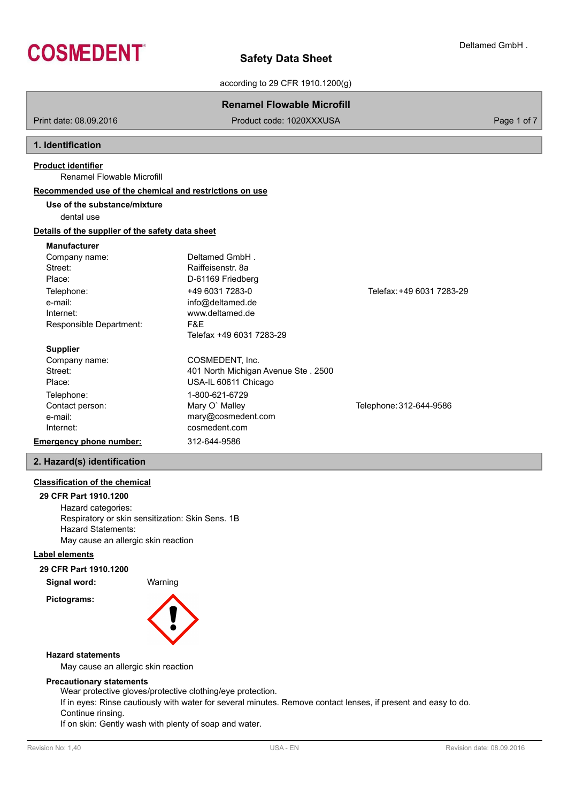

according to 29 CFR 1910.1200(g)

|                                                         | <b>Renamel Flowable Microfill</b>   |                           |             |
|---------------------------------------------------------|-------------------------------------|---------------------------|-------------|
| Print date: 08.09.2016                                  | Product code: 1020XXXUSA            |                           | Page 1 of 7 |
| 1. Identification                                       |                                     |                           |             |
| <b>Product identifier</b>                               |                                     |                           |             |
| Renamel Flowable Microfill                              |                                     |                           |             |
| Recommended use of the chemical and restrictions on use |                                     |                           |             |
| Use of the substance/mixture                            |                                     |                           |             |
| dental use                                              |                                     |                           |             |
| Details of the supplier of the safety data sheet        |                                     |                           |             |
| <b>Manufacturer</b>                                     |                                     |                           |             |
| Company name:                                           | Deltamed GmbH.                      |                           |             |
| Street:                                                 | Raiffeisenstr, 8a                   |                           |             |
| Place:                                                  | D-61169 Friedberg                   |                           |             |
| Telephone:                                              | +49 6031 7283-0                     | Telefax: +49 6031 7283-29 |             |
| e-mail:                                                 | info@deltamed.de                    |                           |             |
| Internet:                                               | www.deltamed.de                     |                           |             |
| Responsible Department:                                 | F&E                                 |                           |             |
|                                                         | Telefax +49 6031 7283-29            |                           |             |
| <b>Supplier</b>                                         |                                     |                           |             |
| Company name:                                           | COSMEDENT, Inc.                     |                           |             |
| Street:                                                 | 401 North Michigan Avenue Ste. 2500 |                           |             |
| Place:                                                  | USA-IL 60611 Chicago                |                           |             |
| Telephone:                                              | 1-800-621-6729                      |                           |             |
| Contact person:                                         | Mary O' Malley                      | Telephone: 312-644-9586   |             |
| e-mail:                                                 | mary@cosmedent.com                  |                           |             |
| Internet:                                               | cosmedent.com                       |                           |             |
| <b>Emergency phone number:</b>                          | 312-644-9586                        |                           |             |
| 2. Hazard(s) identification                             |                                     |                           |             |

# **Classification of the chemical**

**29 CFR Part 1910.1200** Hazard categories: Respiratory or skin sensitization: Skin Sens. 1B Hazard Statements: May cause an allergic skin reaction

# **Label elements**

**Pictograms:**

# **29 CFR Part 1910.1200**

**Signal word:** Warning



# **Hazard statements**

May cause an allergic skin reaction

# **Precautionary statements**

Wear protective gloves/protective clothing/eye protection.

If in eyes: Rinse cautiously with water for several minutes. Remove contact lenses, if present and easy to do. Continue rinsing.

If on skin: Gently wash with plenty of soap and water.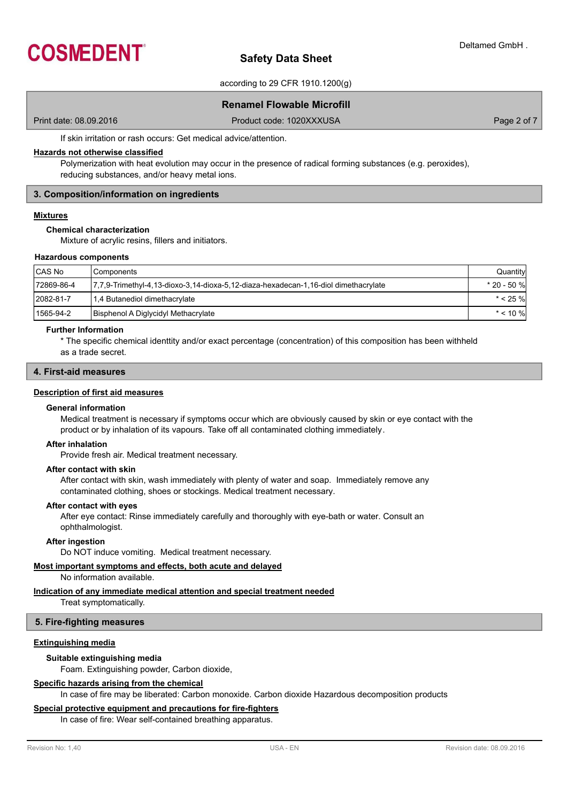

according to 29 CFR 1910.1200(g)

# **Renamel Flowable Microfill**

Print date: 08.09.2016 **Product code: 1020XXXUSA** Product code: 1020XXXUSA Page 2 of 7

If skin irritation or rash occurs: Get medical advice/attention.

# **Hazards not otherwise classified**

Polymerization with heat evolution may occur in the presence of radical forming substances (e.g. peroxides), reducing substances, and/or heavy metal ions.

# **3. Composition/information on ingredients**

# **Mixtures**

#### **Chemical characterization**

Mixture of acrylic resins, fillers and initiators.

#### **Hazardous components**

| CAS No     | l Components                                                                        | Quantity     |
|------------|-------------------------------------------------------------------------------------|--------------|
| 72869-86-4 | 7,7,9-Trimethyl-4,13-dioxo-3,14-dioxa-5,12-diaza-hexadecan-1,16-diol dimethacrylate | * 20 - 50 %l |
| 2082-81-7  | 1,4 Butanediol dimethacrylate                                                       | $* < 25 \%$  |
| 1565-94-2  | Bisphenol A Diglycidyl Methacrylate                                                 | $*$ < 10 %   |

# **Further Information**

\* The specific chemical identtity and/or exact percentage (concentration) of this composition has been withheld as a trade secret.

#### **4. First-aid measures**

#### **Description of first aid measures**

#### **General information**

Medical treatment is necessary if symptoms occur which are obviously caused by skin or eye contact with the product or by inhalation of its vapours. Take off all contaminated clothing immediately.

#### **After inhalation**

Provide fresh air. Medical treatment necessary.

#### **After contact with skin**

After contact with skin, wash immediately with plenty of water and soap. Immediately remove any contaminated clothing, shoes or stockings. Medical treatment necessary.

#### **After contact with eyes**

After eye contact: Rinse immediately carefully and thoroughly with eye-bath or water. Consult an ophthalmologist.

# **After ingestion**

Do NOT induce vomiting. Medical treatment necessary.

# **Most important symptoms and effects, both acute and delayed**

No information available.

# **Indication of any immediate medical attention and special treatment needed**

Treat symptomatically.

# **5. Fire-fighting measures**

# **Extinguishing media**

#### **Suitable extinguishing media**

Foam. Extinguishing powder, Carbon dioxide,

# **Specific hazards arising from the chemical**

In case of fire may be liberated: Carbon monoxide. Carbon dioxide Hazardous decomposition products

# **Special protective equipment and precautions for fire-fighters**

In case of fire: Wear self-contained breathing apparatus.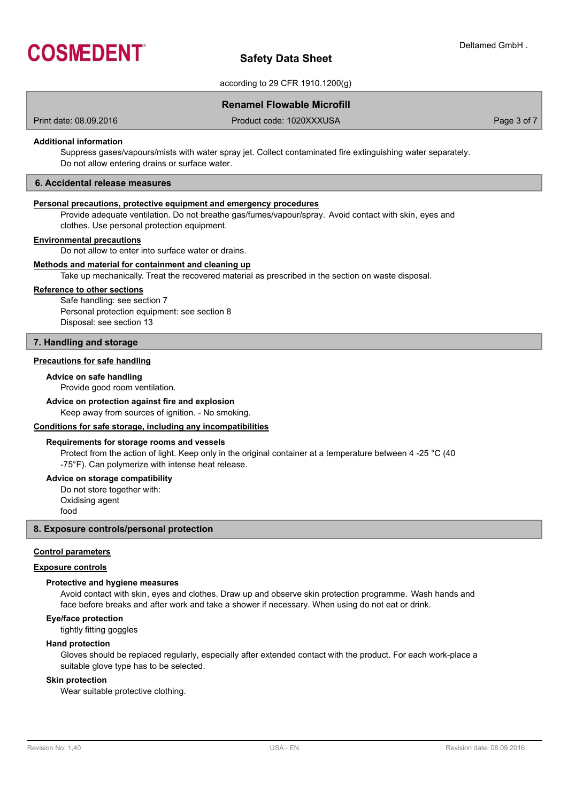

according to 29 CFR 1910.1200(g)

# **Renamel Flowable Microfill**

Print date: 08.09.2016 **Product code: 1020XXXUSA** Product code: 1020XXXUSA Page 3 of 7

# **Additional information**

Suppress gases/vapours/mists with water spray jet. Collect contaminated fire extinguishing water separately. Do not allow entering drains or surface water.

# **6. Accidental release measures**

# **Personal precautions, protective equipment and emergency procedures**

Provide adequate ventilation. Do not breathe gas/fumes/vapour/spray. Avoid contact with skin, eyes and clothes. Use personal protection equipment.

# **Environmental precautions**

Do not allow to enter into surface water or drains.

# **Methods and material for containment and cleaning up**

Take up mechanically. Treat the recovered material as prescribed in the section on waste disposal.

#### **Reference to other sections**

Safe handling: see section 7 Personal protection equipment: see section 8 Disposal: see section 13

#### **7. Handling and storage**

# **Precautions for safe handling**

# **Advice on safe handling**

Provide good room ventilation.

# **Advice on protection against fire and explosion**

Keep away from sources of ignition. - No smoking.

#### **Conditions for safe storage, including any incompatibilities**

#### **Requirements for storage rooms and vessels**

Protect from the action of light. Keep only in the original container at a temperature between 4 -25 °C (40 -75°F). Can polymerize with intense heat release.

#### **Advice on storage compatibility**

Do not store together with: Oxidising agent food

# **8. Exposure controls/personal protection**

#### **Control parameters**

# **Exposure controls**

#### **Protective and hygiene measures**

Avoid contact with skin, eyes and clothes. Draw up and observe skin protection programme. Wash hands and face before breaks and after work and take a shower if necessary. When using do not eat or drink.

#### **Eye/face protection**

tightly fitting goggles

# **Hand protection**

Gloves should be replaced regularly, especially after extended contact with the product. For each work-place a suitable glove type has to be selected.

#### **Skin protection**

Wear suitable protective clothing.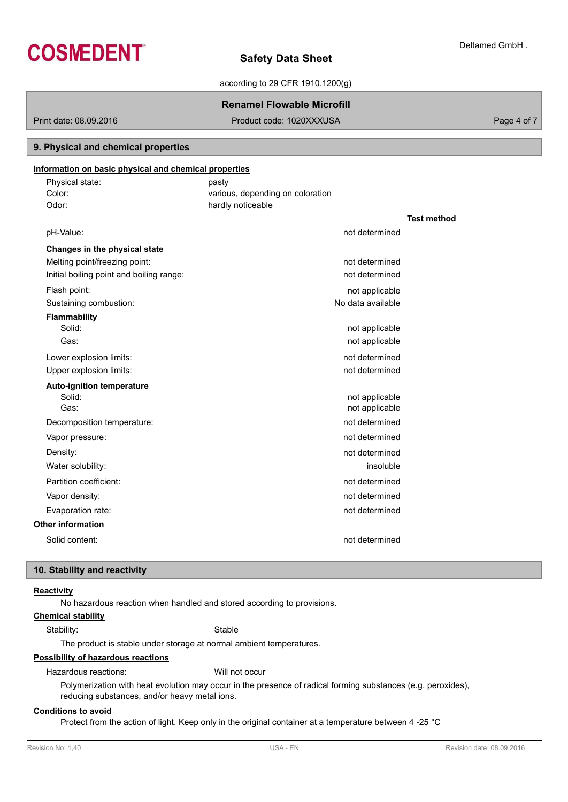

according to 29 CFR 1910.1200(g)

# **Renamel Flowable Microfill**

Print date: 08.09.2016 **Product code: 1020XXXUSA** Product code: 1020XXXUSA Page 4 of 7

# **9. Physical and chemical properties**

# **Information on basic physical and chemical properties**

| Physical state:<br>Color:     | pasty<br>various, depending on coloration |                                      |                    |
|-------------------------------|-------------------------------------------|--------------------------------------|--------------------|
| Odor:                         | hardly noticeable                         |                                      |                    |
|                               |                                           |                                      | <b>Test method</b> |
| pH-Value:                     |                                           | not determined                       |                    |
| Changes in the physical state |                                           |                                      |                    |
| $M = 1$                       |                                           | المتحال والمستحقق والمتلقات والمناور |                    |

| Meiting point/freezing point:            | not determined    |
|------------------------------------------|-------------------|
| Initial boiling point and boiling range: | not determined    |
| Flash point:                             | not applicable    |
| Sustaining combustion:                   | No data available |
| <b>Flammability</b>                      |                   |
| Solid:                                   | not applicable    |
| Gas:                                     | not applicable    |
| Lower explosion limits:                  | not determined    |
| Upper explosion limits:                  | not determined    |
| <b>Auto-ignition temperature</b>         |                   |
| Solid:                                   | not applicable    |
| Gas:                                     | not applicable    |
| Decomposition temperature:               | not determined    |
| Vapor pressure:                          | not determined    |
| Density:                                 | not determined    |
| Water solubility:                        | insoluble         |
| Partition coefficient:                   | not determined    |
| Vapor density:                           | not determined    |
| Evaporation rate:                        | not determined    |
| <b>Other information</b>                 |                   |
| Solid content:                           | not determined    |

# **10. Stability and reactivity**

# **Reactivity**

No hazardous reaction when handled and stored according to provisions.

# **Chemical stability**

Stability: Stable

The product is stable under storage at normal ambient temperatures.

# **Possibility of hazardous reactions**

Hazardous reactions: Will not occur

Polymerization with heat evolution may occur in the presence of radical forming substances (e.g. peroxides), reducing substances, and/or heavy metal ions.

# **Conditions to avoid**

Protect from the action of light. Keep only in the original container at a temperature between 4 -25 °C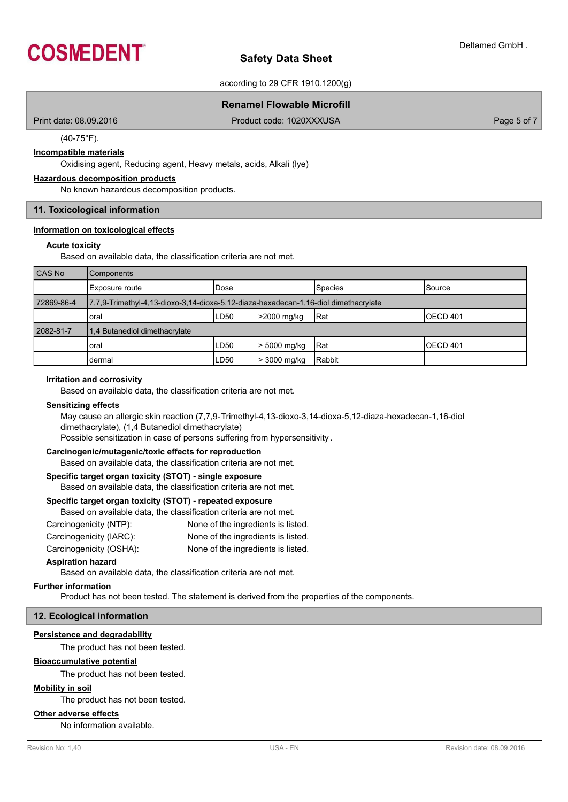

according to 29 CFR 1910.1200(g)

# **Renamel Flowable Microfill**

Print date: 08.09.2016 **Product code: 1020XXXUSA** Product code: 1020XXXUSA Page 5 of 7

(40-75°F).

# **Incompatible materials**

Oxidising agent, Reducing agent, Heavy metals, acids, Alkali (lye)

# **Hazardous decomposition products**

No known hazardous decomposition products.

# **11. Toxicological information**

#### **Information on toxicological effects**

#### **Acute toxicity**

Based on available data, the classification criteria are not met.

| CAS No     | Components                                                                          |             |              |         |                     |
|------------|-------------------------------------------------------------------------------------|-------------|--------------|---------|---------------------|
|            | Exposure route                                                                      | <b>Dose</b> |              | Species | <b>Source</b>       |
| 72869-86-4 | 7,7,9-Trimethyl-4,13-dioxo-3,14-dioxa-5,12-diaza-hexadecan-1,16-diol dimethacrylate |             |              |         |                     |
|            | oral                                                                                | LD50        | >2000 mg/kg  | Rat     | OECD <sub>401</sub> |
| 2082-81-7  | 1.4 Butanediol dimethacrylate                                                       |             |              |         |                     |
|            | oral                                                                                | LD50        | > 5000 mg/kg | IRat    | OECD <sub>401</sub> |
|            | dermal                                                                              | LD50        | > 3000 mg/kg | Rabbit  |                     |

#### **Irritation and corrosivity**

Based on available data, the classification criteria are not met.

# **Sensitizing effects**

May cause an allergic skin reaction (7,7,9-Trimethyl-4,13-dioxo-3,14-dioxa-5,12-diaza-hexadecan-1,16-diol dimethacrylate), (1,4 Butanediol dimethacrylate) Possible sensitization in case of persons suffering from hypersensitivity .

# **Carcinogenic/mutagenic/toxic effects for reproduction**

Based on available data, the classification criteria are not met.

# **Specific target organ toxicity (STOT) - single exposure**

Based on available data, the classification criteria are not met.

# **Specific target organ toxicity (STOT) - repeated exposure**

| Based on available data, the classification criteria are not met. |                                    |
|-------------------------------------------------------------------|------------------------------------|
| Carcinogenicity (NTP):                                            | None of the ingredients is listed. |
| Carcinogenicity (IARC):                                           | None of the ingredients is listed. |
| Carcinogenicity (OSHA):                                           | None of the ingredients is listed. |

#### **Aspiration hazard**

Based on available data, the classification criteria are not met.

# **Further information**

Product has not been tested. The statement is derived from the properties of the components.

# **12. Ecological information**

# **Persistence and degradability**

The product has not been tested.

# **Bioaccumulative potential**

The product has not been tested.

# **Mobility in soil**

The product has not been tested.

# **Other adverse effects**

No information available.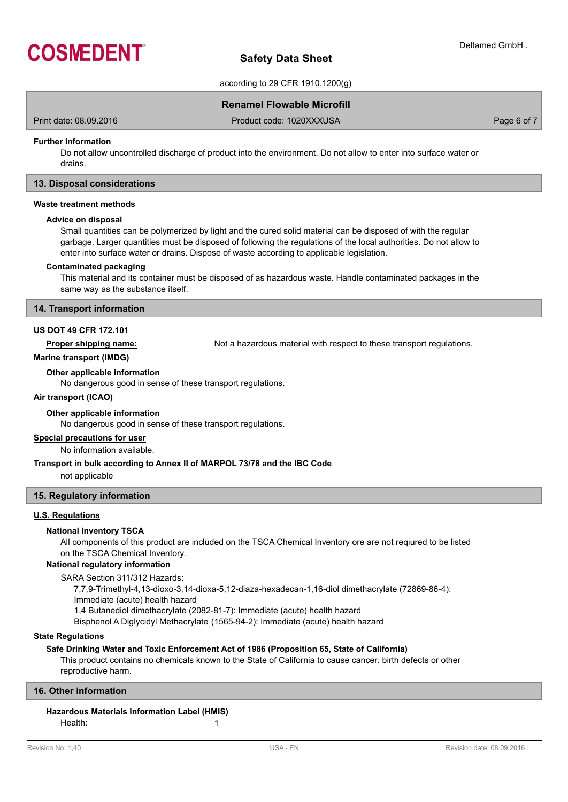

according to 29 CFR 1910.1200(g)

# **Renamel Flowable Microfill**

Print date: 08.09.2016 **Product code: 1020XXXUSA** Product code: 1020XXXUSA Page 6 of 7

# **Further information**

Do not allow uncontrolled discharge of product into the environment. Do not allow to enter into surface water or drains.

# **13. Disposal considerations**

### **Waste treatment methods**

#### **Advice on disposal**

Small quantities can be polymerized by light and the cured solid material can be disposed of with the regular garbage. Larger quantities must be disposed of following the regulations of the local authorities. Do not allow to enter into surface water or drains. Dispose of waste according to applicable legislation.

#### **Contaminated packaging**

This material and its container must be disposed of as hazardous waste. Handle contaminated packages in the same way as the substance itself.

#### **14. Transport information**

# **US DOT 49 CFR 172.101**

**Proper shipping name:** Not a hazardous material with respect to these transport regulations.

#### **Marine transport (IMDG)**

**Other applicable information**

No dangerous good in sense of these transport regulations.

# **Air transport (ICAO)**

# **Other applicable information**

No dangerous good in sense of these transport regulations.

#### **Special precautions for user**

No information available.

# **Transport in bulk according to Annex II of MARPOL 73/78 and the IBC Code**

not applicable

# **15. Regulatory information**

# **U.S. Regulations**

# **National Inventory TSCA**

All components of this product are included on the TSCA Chemical Inventory ore are not reqiured to be listed on the TSCA Chemical Inventory.

# **National regulatory information**

SARA Section 311/312 Hazards:

7,7,9-Trimethyl-4,13-dioxo-3,14-dioxa-5,12-diaza-hexadecan-1,16-diol dimethacrylate (72869-86-4):

Immediate (acute) health hazard

1,4 Butanediol dimethacrylate (2082-81-7): Immediate (acute) health hazard

Bisphenol A Diglycidyl Methacrylate (1565-94-2): Immediate (acute) health hazard

# **State Regulations**

# **Safe Drinking Water and Toxic Enforcement Act of 1986 (Proposition 65, State of California)**

This product contains no chemicals known to the State of California to cause cancer, birth defects or other reproductive harm.

# **16. Other information**

# **Hazardous Materials Information Label (HMIS)**

Health: 1